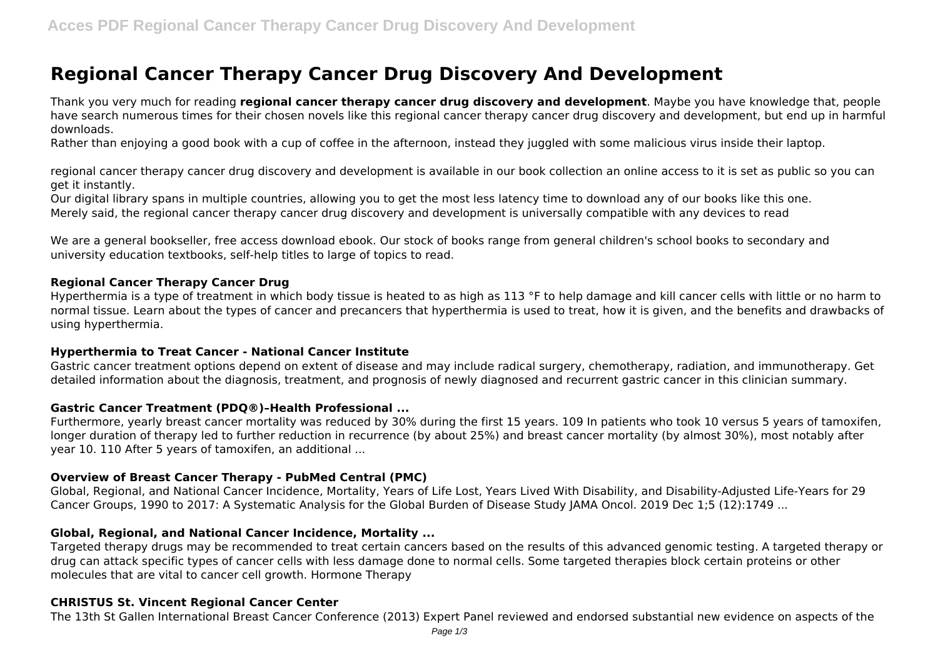# **Regional Cancer Therapy Cancer Drug Discovery And Development**

Thank you very much for reading **regional cancer therapy cancer drug discovery and development**. Maybe you have knowledge that, people have search numerous times for their chosen novels like this regional cancer therapy cancer drug discovery and development, but end up in harmful downloads.

Rather than enjoying a good book with a cup of coffee in the afternoon, instead they juggled with some malicious virus inside their laptop.

regional cancer therapy cancer drug discovery and development is available in our book collection an online access to it is set as public so you can get it instantly.

Our digital library spans in multiple countries, allowing you to get the most less latency time to download any of our books like this one. Merely said, the regional cancer therapy cancer drug discovery and development is universally compatible with any devices to read

We are a general bookseller, free access download ebook. Our stock of books range from general children's school books to secondary and university education textbooks, self-help titles to large of topics to read.

## **Regional Cancer Therapy Cancer Drug**

Hyperthermia is a type of treatment in which body tissue is heated to as high as 113 °F to help damage and kill cancer cells with little or no harm to normal tissue. Learn about the types of cancer and precancers that hyperthermia is used to treat, how it is given, and the benefits and drawbacks of using hyperthermia.

## **Hyperthermia to Treat Cancer - National Cancer Institute**

Gastric cancer treatment options depend on extent of disease and may include radical surgery, chemotherapy, radiation, and immunotherapy. Get detailed information about the diagnosis, treatment, and prognosis of newly diagnosed and recurrent gastric cancer in this clinician summary.

## **Gastric Cancer Treatment (PDQ®)–Health Professional ...**

Furthermore, yearly breast cancer mortality was reduced by 30% during the first 15 years. 109 In patients who took 10 versus 5 years of tamoxifen, longer duration of therapy led to further reduction in recurrence (by about 25%) and breast cancer mortality (by almost 30%), most notably after year 10. 110 After 5 years of tamoxifen, an additional ...

## **Overview of Breast Cancer Therapy - PubMed Central (PMC)**

Global, Regional, and National Cancer Incidence, Mortality, Years of Life Lost, Years Lived With Disability, and Disability-Adjusted Life-Years for 29 Cancer Groups, 1990 to 2017: A Systematic Analysis for the Global Burden of Disease Study JAMA Oncol. 2019 Dec 1;5 (12):1749 ...

## **Global, Regional, and National Cancer Incidence, Mortality ...**

Targeted therapy drugs may be recommended to treat certain cancers based on the results of this advanced genomic testing. A targeted therapy or drug can attack specific types of cancer cells with less damage done to normal cells. Some targeted therapies block certain proteins or other molecules that are vital to cancer cell growth. Hormone Therapy

## **CHRISTUS St. Vincent Regional Cancer Center**

The 13th St Gallen International Breast Cancer Conference (2013) Expert Panel reviewed and endorsed substantial new evidence on aspects of the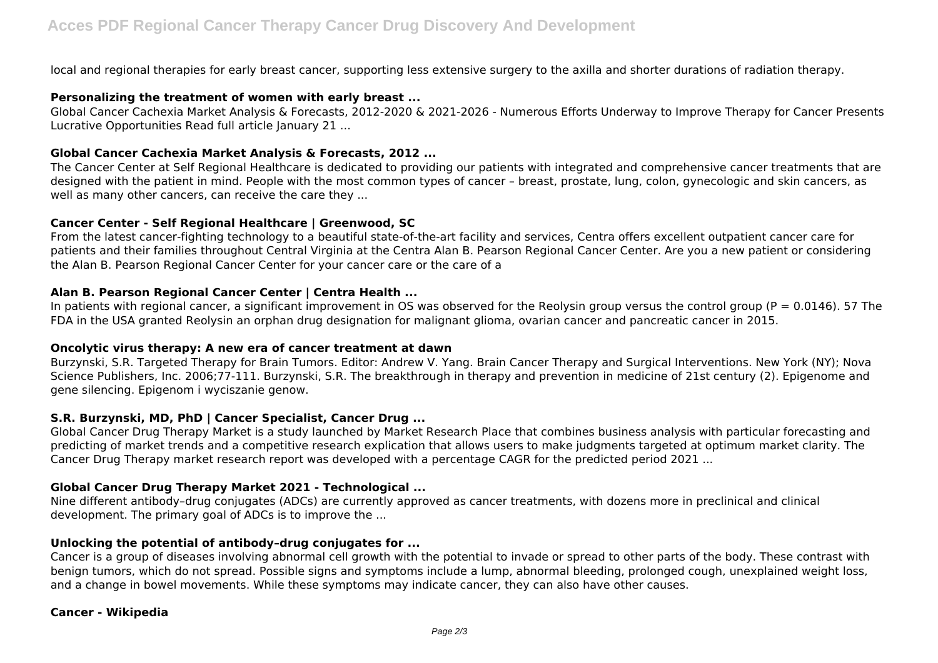local and regional therapies for early breast cancer, supporting less extensive surgery to the axilla and shorter durations of radiation therapy.

## **Personalizing the treatment of women with early breast ...**

Global Cancer Cachexia Market Analysis & Forecasts, 2012-2020 & 2021-2026 - Numerous Efforts Underway to Improve Therapy for Cancer Presents Lucrative Opportunities Read full article January 21 ...

## **Global Cancer Cachexia Market Analysis & Forecasts, 2012 ...**

The Cancer Center at Self Regional Healthcare is dedicated to providing our patients with integrated and comprehensive cancer treatments that are designed with the patient in mind. People with the most common types of cancer – breast, prostate, lung, colon, gynecologic and skin cancers, as well as many other cancers, can receive the care they ...

## **Cancer Center - Self Regional Healthcare | Greenwood, SC**

From the latest cancer-fighting technology to a beautiful state-of-the-art facility and services, Centra offers excellent outpatient cancer care for patients and their families throughout Central Virginia at the Centra Alan B. Pearson Regional Cancer Center. Are you a new patient or considering the Alan B. Pearson Regional Cancer Center for your cancer care or the care of a

## **Alan B. Pearson Regional Cancer Center | Centra Health ...**

In patients with regional cancer, a significant improvement in OS was observed for the Reolysin group versus the control group ( $P = 0.0146$ ). 57 The FDA in the USA granted Reolysin an orphan drug designation for malignant glioma, ovarian cancer and pancreatic cancer in 2015.

## **Oncolytic virus therapy: A new era of cancer treatment at dawn**

Burzynski, S.R. Targeted Therapy for Brain Tumors. Editor: Andrew V. Yang. Brain Cancer Therapy and Surgical Interventions. New York (NY); Nova Science Publishers, Inc. 2006;77-111. Burzynski, S.R. The breakthrough in therapy and prevention in medicine of 21st century (2). Epigenome and gene silencing. Epigenom i wyciszanie genow.

# **S.R. Burzynski, MD, PhD | Cancer Specialist, Cancer Drug ...**

Global Cancer Drug Therapy Market is a study launched by Market Research Place that combines business analysis with particular forecasting and predicting of market trends and a competitive research explication that allows users to make judgments targeted at optimum market clarity. The Cancer Drug Therapy market research report was developed with a percentage CAGR for the predicted period 2021 ...

# **Global Cancer Drug Therapy Market 2021 - Technological ...**

Nine different antibody–drug conjugates (ADCs) are currently approved as cancer treatments, with dozens more in preclinical and clinical development. The primary goal of ADCs is to improve the ...

# **Unlocking the potential of antibody–drug conjugates for ...**

Cancer is a group of diseases involving abnormal cell growth with the potential to invade or spread to other parts of the body. These contrast with benign tumors, which do not spread. Possible signs and symptoms include a lump, abnormal bleeding, prolonged cough, unexplained weight loss, and a change in bowel movements. While these symptoms may indicate cancer, they can also have other causes.

## **Cancer - Wikipedia**